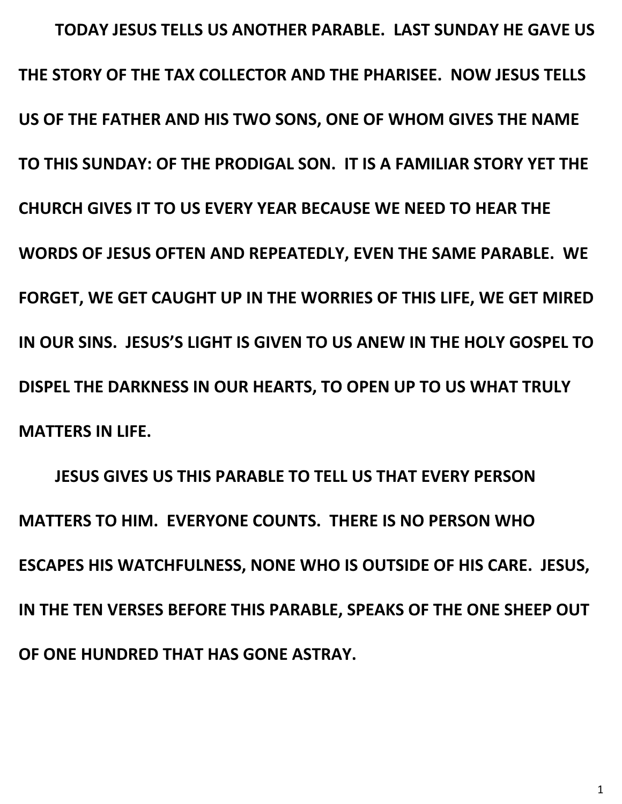**TODAY JESUS TELLS US ANOTHER PARABLE. LAST SUNDAY HE GAVE US THE STORY OF THE TAX COLLECTOR AND THE PHARISEE. NOW JESUS TELLS US OF THE FATHER AND HIS TWO SONS, ONE OF WHOM GIVES THE NAME TO THIS SUNDAY: OF THE PRODIGAL SON. IT IS A FAMILIAR STORY YET THE CHURCH GIVES IT TO US EVERY YEAR BECAUSE WE NEED TO HEAR THE WORDS OF JESUS OFTEN AND REPEATEDLY, EVEN THE SAME PARABLE. WE FORGET, WE GET CAUGHT UP IN THE WORRIES OF THIS LIFE, WE GET MIRED IN OUR SINS. JESUS'S LIGHT IS GIVEN TO US ANEW IN THE HOLY GOSPEL TO DISPEL THE DARKNESS IN OUR HEARTS, TO OPEN UP TO US WHAT TRULY MATTERS IN LIFE.**

**JESUS GIVES US THIS PARABLE TO TELL US THAT EVERY PERSON MATTERS TO HIM. EVERYONE COUNTS. THERE IS NO PERSON WHO ESCAPES HIS WATCHFULNESS, NONE WHO IS OUTSIDE OF HIS CARE. JESUS, IN THE TEN VERSES BEFORE THIS PARABLE, SPEAKS OF THE ONE SHEEP OUT OF ONE HUNDRED THAT HAS GONE ASTRAY.**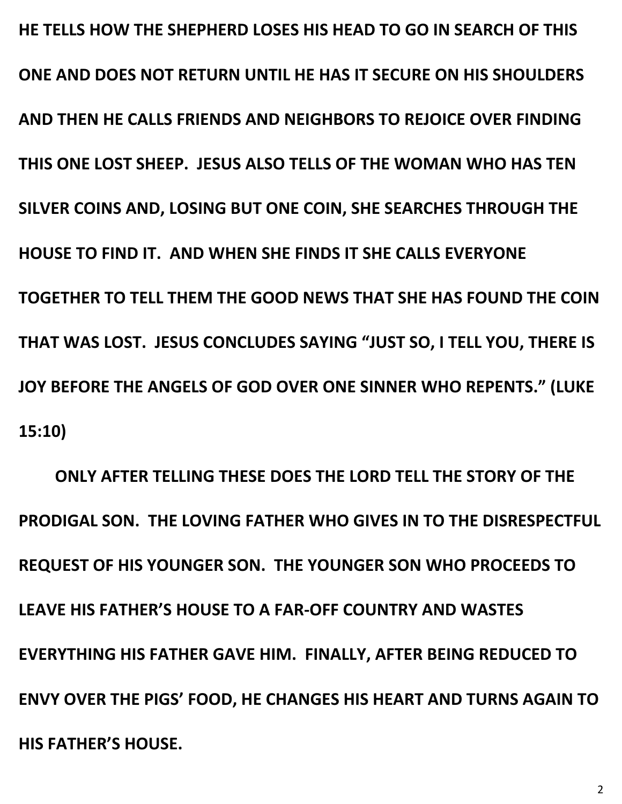**HE TELLS HOW THE SHEPHERD LOSES HIS HEAD TO GO IN SEARCH OF THIS ONE AND DOES NOT RETURN UNTIL HE HAS IT SECURE ON HIS SHOULDERS AND THEN HE CALLS FRIENDS AND NEIGHBORS TO REJOICE OVER FINDING THIS ONE LOST SHEEP. JESUS ALSO TELLS OF THE WOMAN WHO HAS TEN SILVER COINS AND, LOSING BUT ONE COIN, SHE SEARCHES THROUGH THE HOUSE TO FIND IT. AND WHEN SHE FINDS IT SHE CALLS EVERYONE TOGETHER TO TELL THEM THE GOOD NEWS THAT SHE HAS FOUND THE COIN THAT WAS LOST. JESUS CONCLUDES SAYING "JUST SO, I TELL YOU, THERE IS JOY BEFORE THE ANGELS OF GOD OVER ONE SINNER WHO REPENTS." (LUKE 15:10)**

**ONLY AFTER TELLING THESE DOES THE LORD TELL THE STORY OF THE PRODIGAL SON. THE LOVING FATHER WHO GIVES IN TO THE DISRESPECTFUL REQUEST OF HIS YOUNGER SON. THE YOUNGER SON WHO PROCEEDS TO LEAVE HIS FATHER'S HOUSE TO A FAR-OFF COUNTRY AND WASTES EVERYTHING HIS FATHER GAVE HIM. FINALLY, AFTER BEING REDUCED TO ENVY OVER THE PIGS' FOOD, HE CHANGES HIS HEART AND TURNS AGAIN TO HIS FATHER'S HOUSE.**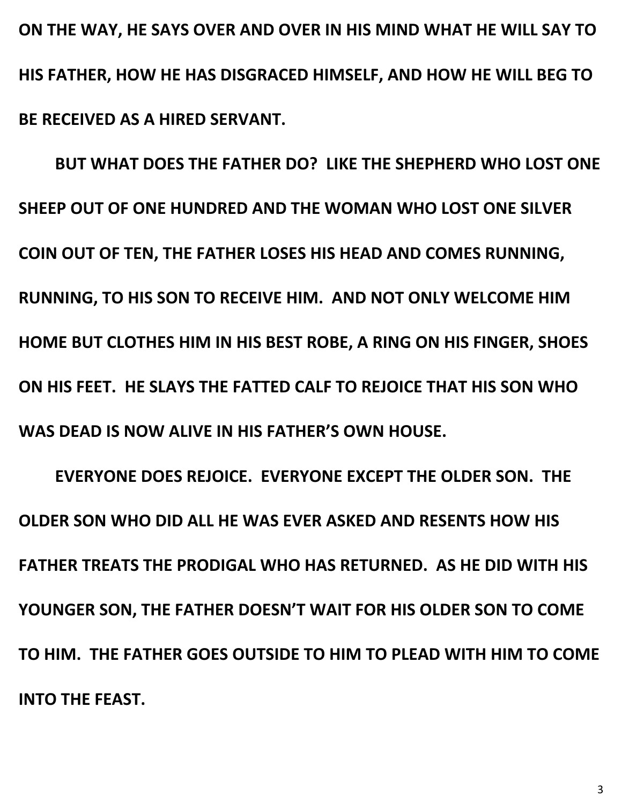**ON THE WAY, HE SAYS OVER AND OVER IN HIS MIND WHAT HE WILL SAY TO HIS FATHER, HOW HE HAS DISGRACED HIMSELF, AND HOW HE WILL BEG TO BE RECEIVED AS A HIRED SERVANT.**

**BUT WHAT DOES THE FATHER DO? LIKE THE SHEPHERD WHO LOST ONE SHEEP OUT OF ONE HUNDRED AND THE WOMAN WHO LOST ONE SILVER COIN OUT OF TEN, THE FATHER LOSES HIS HEAD AND COMES RUNNING, RUNNING, TO HIS SON TO RECEIVE HIM. AND NOT ONLY WELCOME HIM HOME BUT CLOTHES HIM IN HIS BEST ROBE, A RING ON HIS FINGER, SHOES ON HIS FEET. HE SLAYS THE FATTED CALF TO REJOICE THAT HIS SON WHO WAS DEAD IS NOW ALIVE IN HIS FATHER'S OWN HOUSE.**

**EVERYONE DOES REJOICE. EVERYONE EXCEPT THE OLDER SON. THE OLDER SON WHO DID ALL HE WAS EVER ASKED AND RESENTS HOW HIS FATHER TREATS THE PRODIGAL WHO HAS RETURNED. AS HE DID WITH HIS YOUNGER SON, THE FATHER DOESN'T WAIT FOR HIS OLDER SON TO COME TO HIM. THE FATHER GOES OUTSIDE TO HIM TO PLEAD WITH HIM TO COME INTO THE FEAST.**